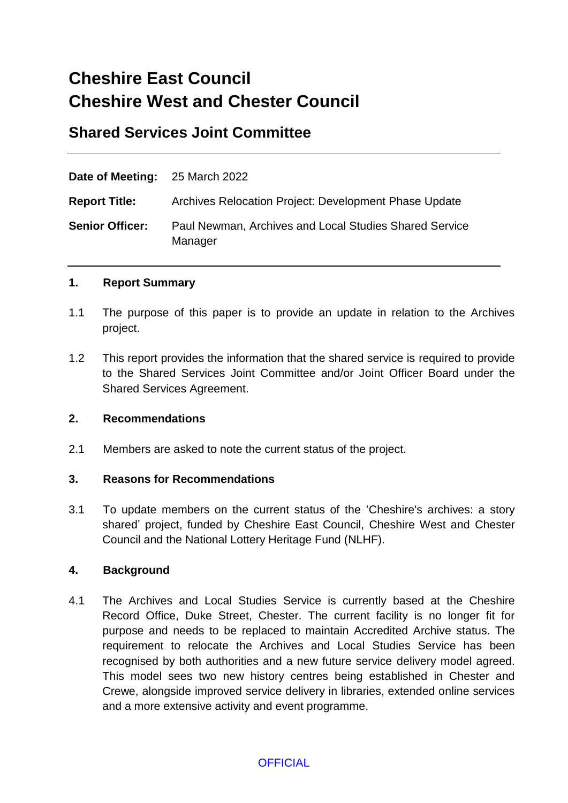# **Cheshire East Council Cheshire West and Chester Council**

# **Shared Services Joint Committee**

| <b>Date of Meeting:</b> 25 March 2022 |                                                                   |
|---------------------------------------|-------------------------------------------------------------------|
| <b>Report Title:</b>                  | Archives Relocation Project: Development Phase Update             |
| <b>Senior Officer:</b>                | Paul Newman, Archives and Local Studies Shared Service<br>Manager |

#### **1. Report Summary**

- 1.1 The purpose of this paper is to provide an update in relation to the Archives project.
- 1.2 This report provides the information that the shared service is required to provide to the Shared Services Joint Committee and/or Joint Officer Board under the Shared Services Agreement.

#### **2. Recommendations**

2.1 Members are asked to note the current status of the project.

#### **3. Reasons for Recommendations**

3.1 To update members on the current status of the 'Cheshire's archives: a story shared' project, funded by Cheshire East Council, Cheshire West and Chester Council and the National Lottery Heritage Fund (NLHF).

#### **4. Background**

4.1 The Archives and Local Studies Service is currently based at the Cheshire Record Office, Duke Street, Chester. The current facility is no longer fit for purpose and needs to be replaced to maintain Accredited Archive status. The requirement to relocate the Archives and Local Studies Service has been recognised by both authorities and a new future service delivery model agreed. This model sees two new history centres being established in Chester and Crewe, alongside improved service delivery in libraries, extended online services and a more extensive activity and event programme.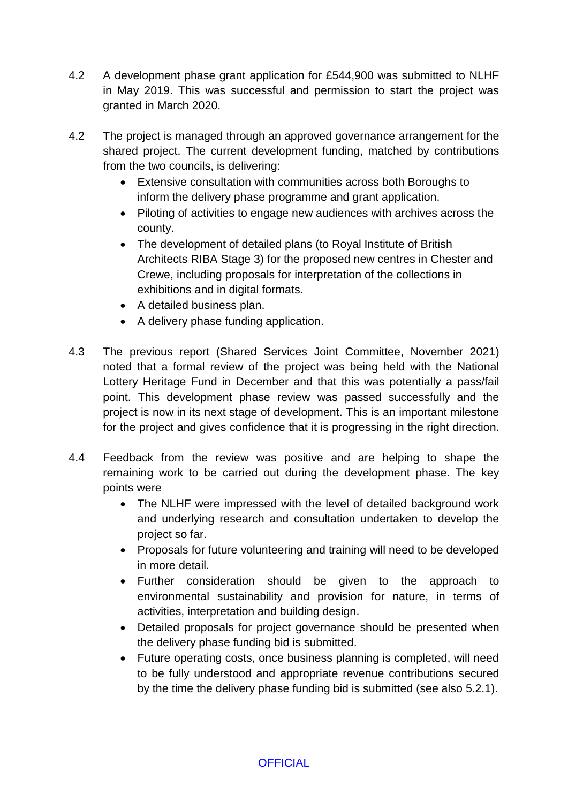- 4.2 A development phase grant application for £544,900 was submitted to NLHF in May 2019. This was successful and permission to start the project was granted in March 2020.
- 4.2 The project is managed through an approved governance arrangement for the shared project. The current development funding, matched by contributions from the two councils, is delivering:
	- Extensive consultation with communities across both Boroughs to inform the delivery phase programme and grant application.
	- Piloting of activities to engage new audiences with archives across the county.
	- The development of detailed plans (to Royal Institute of British Architects RIBA Stage 3) for the proposed new centres in Chester and Crewe, including proposals for interpretation of the collections in exhibitions and in digital formats.
	- A detailed business plan.
	- A delivery phase funding application.
- 4.3 The previous report (Shared Services Joint Committee, November 2021) noted that a formal review of the project was being held with the National Lottery Heritage Fund in December and that this was potentially a pass/fail point. This development phase review was passed successfully and the project is now in its next stage of development. This is an important milestone for the project and gives confidence that it is progressing in the right direction.
- 4.4 Feedback from the review was positive and are helping to shape the remaining work to be carried out during the development phase. The key points were
	- The NLHF were impressed with the level of detailed background work and underlying research and consultation undertaken to develop the project so far.
	- Proposals for future volunteering and training will need to be developed in more detail.
	- Further consideration should be given to the approach to environmental sustainability and provision for nature, in terms of activities, interpretation and building design.
	- Detailed proposals for project governance should be presented when the delivery phase funding bid is submitted.
	- Future operating costs, once business planning is completed, will need to be fully understood and appropriate revenue contributions secured by the time the delivery phase funding bid is submitted (see also 5.2.1).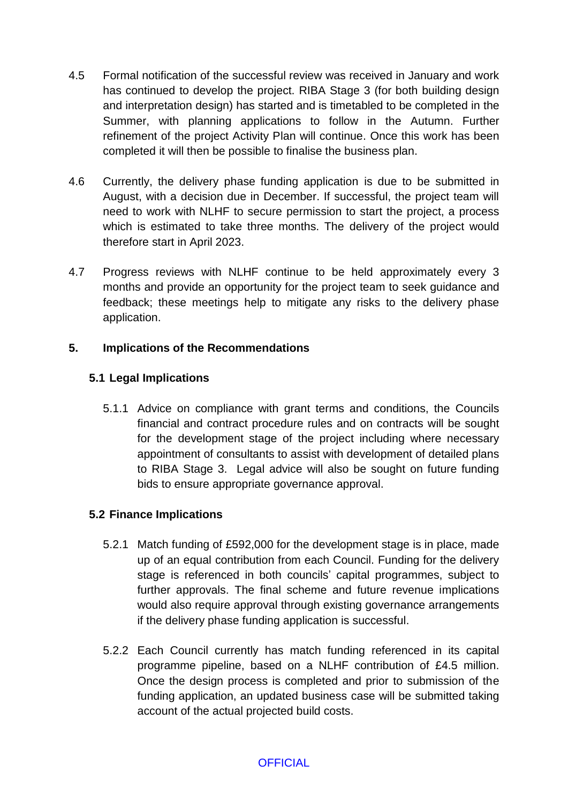- 4.5 Formal notification of the successful review was received in January and work has continued to develop the project. RIBA Stage 3 (for both building design and interpretation design) has started and is timetabled to be completed in the Summer, with planning applications to follow in the Autumn. Further refinement of the project Activity Plan will continue. Once this work has been completed it will then be possible to finalise the business plan.
- 4.6 Currently, the delivery phase funding application is due to be submitted in August, with a decision due in December. If successful, the project team will need to work with NLHF to secure permission to start the project, a process which is estimated to take three months. The delivery of the project would therefore start in April 2023.
- 4.7 Progress reviews with NLHF continue to be held approximately every 3 months and provide an opportunity for the project team to seek guidance and feedback; these meetings help to mitigate any risks to the delivery phase application.

# **5. Implications of the Recommendations**

# **5.1 Legal Implications**

5.1.1 Advice on compliance with grant terms and conditions, the Councils financial and contract procedure rules and on contracts will be sought for the development stage of the project including where necessary appointment of consultants to assist with development of detailed plans to RIBA Stage 3. Legal advice will also be sought on future funding bids to ensure appropriate governance approval.

# **5.2 Finance Implications**

- 5.2.1 Match funding of £592,000 for the development stage is in place, made up of an equal contribution from each Council. Funding for the delivery stage is referenced in both councils' capital programmes, subject to further approvals. The final scheme and future revenue implications would also require approval through existing governance arrangements if the delivery phase funding application is successful.
- 5.2.2 Each Council currently has match funding referenced in its capital programme pipeline, based on a NLHF contribution of £4.5 million. Once the design process is completed and prior to submission of the funding application, an updated business case will be submitted taking account of the actual projected build costs.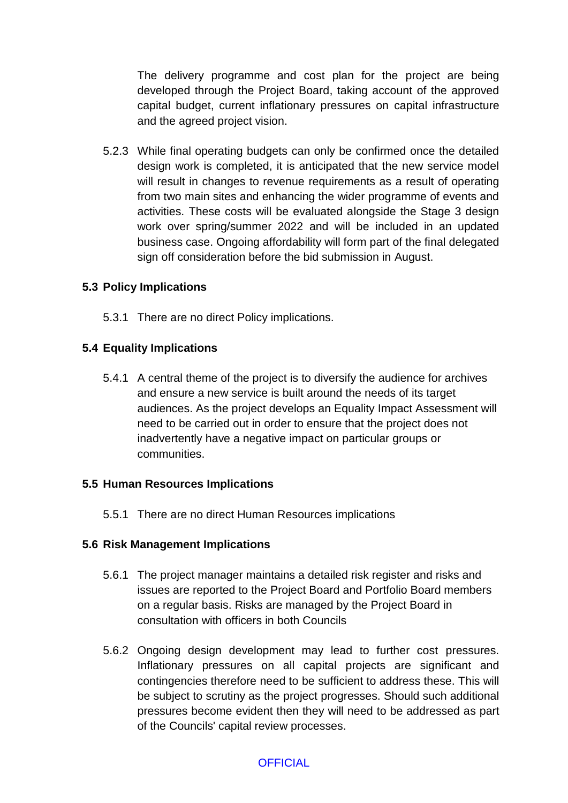The delivery programme and cost plan for the project are being developed through the Project Board, taking account of the approved capital budget, current inflationary pressures on capital infrastructure and the agreed project vision.

5.2.3 While final operating budgets can only be confirmed once the detailed design work is completed, it is anticipated that the new service model will result in changes to revenue requirements as a result of operating from two main sites and enhancing the wider programme of events and activities. These costs will be evaluated alongside the Stage 3 design work over spring/summer 2022 and will be included in an updated business case. Ongoing affordability will form part of the final delegated sign off consideration before the bid submission in August.

# **5.3 Policy Implications**

5.3.1 There are no direct Policy implications.

# **5.4 Equality Implications**

5.4.1 A central theme of the project is to diversify the audience for archives and ensure a new service is built around the needs of its target audiences. As the project develops an Equality Impact Assessment will need to be carried out in order to ensure that the project does not inadvertently have a negative impact on particular groups or communities.

#### **5.5 Human Resources Implications**

5.5.1 There are no direct Human Resources implications

#### **5.6 Risk Management Implications**

- 5.6.1 The project manager maintains a detailed risk register and risks and issues are reported to the Project Board and Portfolio Board members on a regular basis. Risks are managed by the Project Board in consultation with officers in both Councils
- 5.6.2 Ongoing design development may lead to further cost pressures. Inflationary pressures on all capital projects are significant and contingencies therefore need to be sufficient to address these. This will be subject to scrutiny as the project progresses. Should such additional pressures become evident then they will need to be addressed as part of the Councils' capital review processes.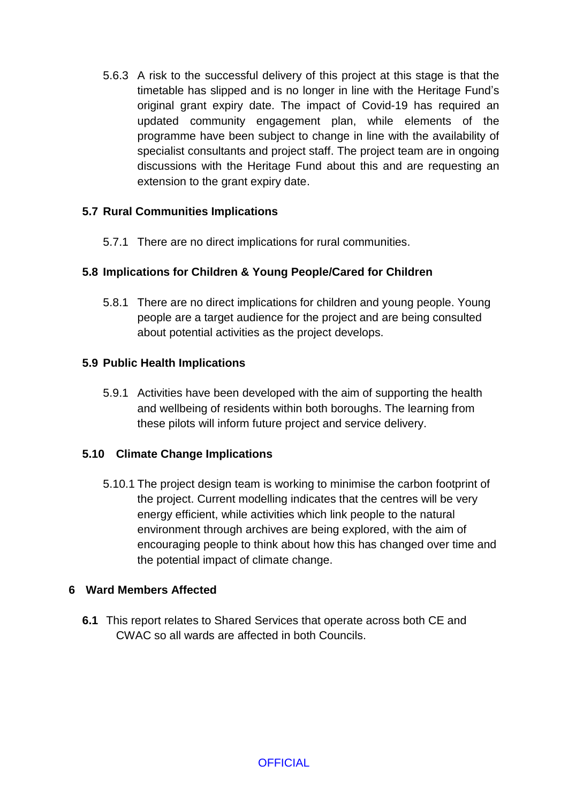5.6.3 A risk to the successful delivery of this project at this stage is that the timetable has slipped and is no longer in line with the Heritage Fund's original grant expiry date. The impact of Covid-19 has required an updated community engagement plan, while elements of the programme have been subject to change in line with the availability of specialist consultants and project staff. The project team are in ongoing discussions with the Heritage Fund about this and are requesting an extension to the grant expiry date.

# **5.7 Rural Communities Implications**

5.7.1 There are no direct implications for rural communities.

# **5.8 Implications for Children & Young People/Cared for Children**

5.8.1 There are no direct implications for children and young people. Young people are a target audience for the project and are being consulted about potential activities as the project develops.

# **5.9 Public Health Implications**

5.9.1 Activities have been developed with the aim of supporting the health and wellbeing of residents within both boroughs. The learning from these pilots will inform future project and service delivery.

# **5.10 Climate Change Implications**

5.10.1 The project design team is working to minimise the carbon footprint of the project. Current modelling indicates that the centres will be very energy efficient, while activities which link people to the natural environment through archives are being explored, with the aim of encouraging people to think about how this has changed over time and the potential impact of climate change.

# **6 Ward Members Affected**

**6.1** This report relates to Shared Services that operate across both CE and CWAC so all wards are affected in both Councils.